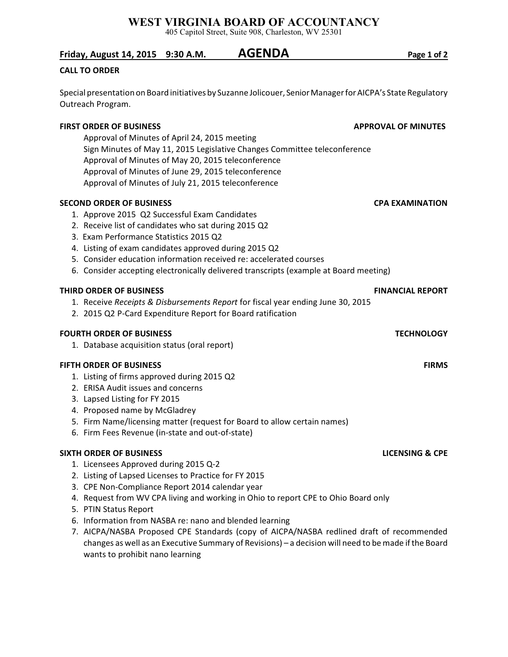## **WEST VIRGINIA BOARD OF ACCOUNTANCY**

405 Capitol Street, Suite 908, Charleston, WV 25301

## **Friday, August 14, 2015 9:30 A.M. AGENDA Page 1 of 2**

### **CALL TO ORDER**

Special presentation on Board initiatives by Suzanne Jolicouer, Senior Manager for AICPA's State Regulatory Outreach Program.

### **FIRST ORDER OF BUSINESS APPROVAL OF MINUTES**

Approval of Minutes of April 24, 2015 meeting Sign Minutes of May 11, 2015 Legislative Changes Committee teleconference Approval of Minutes of May 20, 2015 teleconference Approval of Minutes of June 29, 2015 teleconference Approval of Minutes of July 21, 2015 teleconference

### **SECOND ORDER OF BUSINESS CPA EXAMINATION**

- 1. Approve 2015 Q2 Successful Exam Candidates
- 2. Receive list of candidates who sat during 2015 Q2
- 3. Exam Performance Statistics 2015 Q2
- 4. Listing of exam candidates approved during 2015 Q2
- 5. Consider education information received re: accelerated courses
- 6. Consider accepting electronically delivered transcripts (example at Board meeting)

### **THIRD ORDER OF BUSINESS FINANCIAL REPORT**

- 1. Receive *Receipts & Disbursements Report* for fiscal year ending June 30, 2015
- 2. 2015 Q2 P-Card Expenditure Report for Board ratification

### **FOURTH ORDER OF BUSINESS TECHNOLOGY**

1. Database acquisition status (oral report)

### **FIFTH ORDER OF BUSINESS** FIRMS

- 1. Listing of firms approved during 2015 Q2
- 2. ERISA Audit issues and concerns
- 3. Lapsed Listing for FY 2015
- 4. Proposed name by McGladrey
- 5. Firm Name/licensing matter (request for Board to allow certain names)
- 6. Firm Fees Revenue (in-state and out-of-state)

### **SIXTH ORDER OF BUSINESS LICENSING & CPE**

- 1. Licensees Approved during 2015 Q-2
- 2. Listing of Lapsed Licenses to Practice for FY 2015
- 3. CPE Non-Compliance Report 2014 calendar year
- 4. Request from WV CPA living and working in Ohio to report CPE to Ohio Board only
- 5. PTIN Status Report
- 6. Information from NASBA re: nano and blended learning
- 7. AICPA/NASBA Proposed CPE Standards (copy of AICPA/NASBA redlined draft of recommended changes as well as an Executive Summary of Revisions) – a decision will need to be made if the Board wants to prohibit nano learning